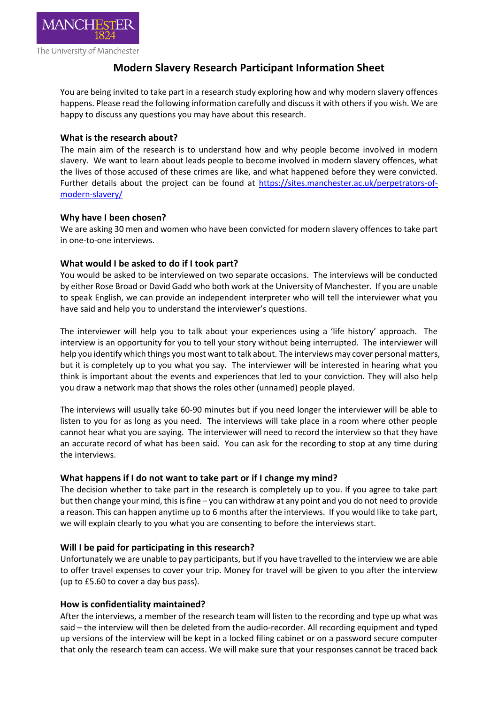

The University of Manchester

# **Modern Slavery Research Participant Information Sheet**

You are being invited to take part in a research study exploring how and why modern slavery offences happens. Please read the following information carefully and discuss it with others if you wish. We are happy to discuss any questions you may have about this research.

# **What is the research about?**

The main aim of the research is to understand how and why people become involved in modern slavery. We want to learn about leads people to become involved in modern slavery offences, what the lives of those accused of these crimes are like, and what happened before they were convicted. Further details about the project can be found at [https://sites.manchester.ac.uk/perpetrators-of](https://sites.manchester.ac.uk/perpetrators-of-modern-slavery/)[modern-slavery/](https://sites.manchester.ac.uk/perpetrators-of-modern-slavery/)

# **Why have I been chosen?**

We are asking 30 men and women who have been convicted for modern slavery offences to take part in one-to-one interviews.

# **What would I be asked to do if I took part?**

You would be asked to be interviewed on two separate occasions. The interviews will be conducted by either Rose Broad or David Gadd who both work at the University of Manchester. If you are unable to speak English, we can provide an independent interpreter who will tell the interviewer what you have said and help you to understand the interviewer's questions.

The interviewer will help you to talk about your experiences using a 'life history' approach. The interview is an opportunity for you to tell your story without being interrupted. The interviewer will help you identify which things you most want to talk about. The interviews may cover personal matters, but it is completely up to you what you say. The interviewer will be interested in hearing what you think is important about the events and experiences that led to your conviction. They will also help you draw a network map that shows the roles other (unnamed) people played.

The interviews will usually take 60-90 minutes but if you need longer the interviewer will be able to listen to you for as long as you need. The interviews will take place in a room where other people cannot hear what you are saying. The interviewer will need to record the interview so that they have an accurate record of what has been said. You can ask for the recording to stop at any time during the interviews.

## **What happens if I do not want to take part or if I change my mind?**

The decision whether to take part in the research is completely up to you. If you agree to take part but then change your mind, this is fine – you can withdraw at any point and you do not need to provide a reason. This can happen anytime up to 6 months after the interviews. If you would like to take part, we will explain clearly to you what you are consenting to before the interviews start.

# **Will I be paid for participating in this research?**

Unfortunately we are unable to pay participants, but if you have travelled to the interview we are able to offer travel expenses to cover your trip. Money for travel will be given to you after the interview (up to £5.60 to cover a day bus pass).

## **How is confidentiality maintained?**

After the interviews, a member of the research team will listen to the recording and type up what was said – the interview will then be deleted from the audio-recorder. All recording equipment and typed up versions of the interview will be kept in a locked filing cabinet or on a password secure computer that only the research team can access. We will make sure that your responses cannot be traced back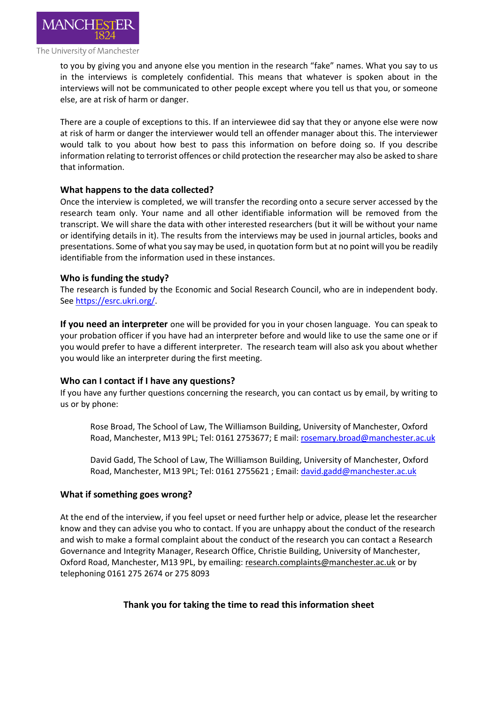

#### The University of Manchester

to you by giving you and anyone else you mention in the research "fake" names. What you say to us in the interviews is completely confidential. This means that whatever is spoken about in the interviews will not be communicated to other people except where you tell us that you, or someone else, are at risk of harm or danger.

There are a couple of exceptions to this. If an interviewee did say that they or anyone else were now at risk of harm or danger the interviewer would tell an offender manager about this. The interviewer would talk to you about how best to pass this information on before doing so. If you describe information relating to terrorist offences or child protection the researcher may also be asked to share that information.

# **What happens to the data collected?**

Once the interview is completed, we will transfer the recording onto a secure server accessed by the research team only. Your name and all other identifiable information will be removed from the transcript. We will share the data with other interested researchers (but it will be without your name or identifying details in it). The results from the interviews may be used in journal articles, books and presentations. Some of what you say may be used, in quotation form but at no point will you be readily identifiable from the information used in these instances.

# **Who is funding the study?**

The research is funded by the Economic and Social Research Council, who are in independent body. Se[e https://esrc.ukri.org/.](https://esrc.ukri.org/)

**If you need an interpreter** one will be provided for you in your chosen language. You can speak to your probation officer if you have had an interpreter before and would like to use the same one or if you would prefer to have a different interpreter. The research team will also ask you about whether you would like an interpreter during the first meeting.

## **Who can I contact if I have any questions?**

If you have any further questions concerning the research, you can contact us by email, by writing to us or by phone:

Rose Broad, The School of Law, The Williamson Building, University of Manchester, Oxford Road, Manchester, M13 9PL; Tel: 0161 2753677; E mail: [rosemary.broad@manchester.ac.uk](mailto:rosemary.broad@manchester.ac.uk)

David Gadd, The School of Law, The Williamson Building, University of Manchester, Oxford Road, Manchester, M13 9PL; Tel: 0161 2755621 ; Email: [david.gadd@manchester.ac.uk](mailto:david.gadd@manchester.ac.uk)

## **What if something goes wrong?**

At the end of the interview, if you feel upset or need further help or advice, please let the researcher know and they can advise you who to contact. If you are unhappy about the conduct of the research and wish to make a formal complaint about the conduct of the research you can contact a Research Governance and Integrity Manager, Research Office, Christie Building, University of Manchester, Oxford Road, Manchester, M13 9PL, by emailing: [research.complaints@manchester.ac.uk](mailto:research.complaints@manchester.ac.uk) or by telephoning 0161 275 2674 or 275 8093

# **Thank you for taking the time to read this information sheet**